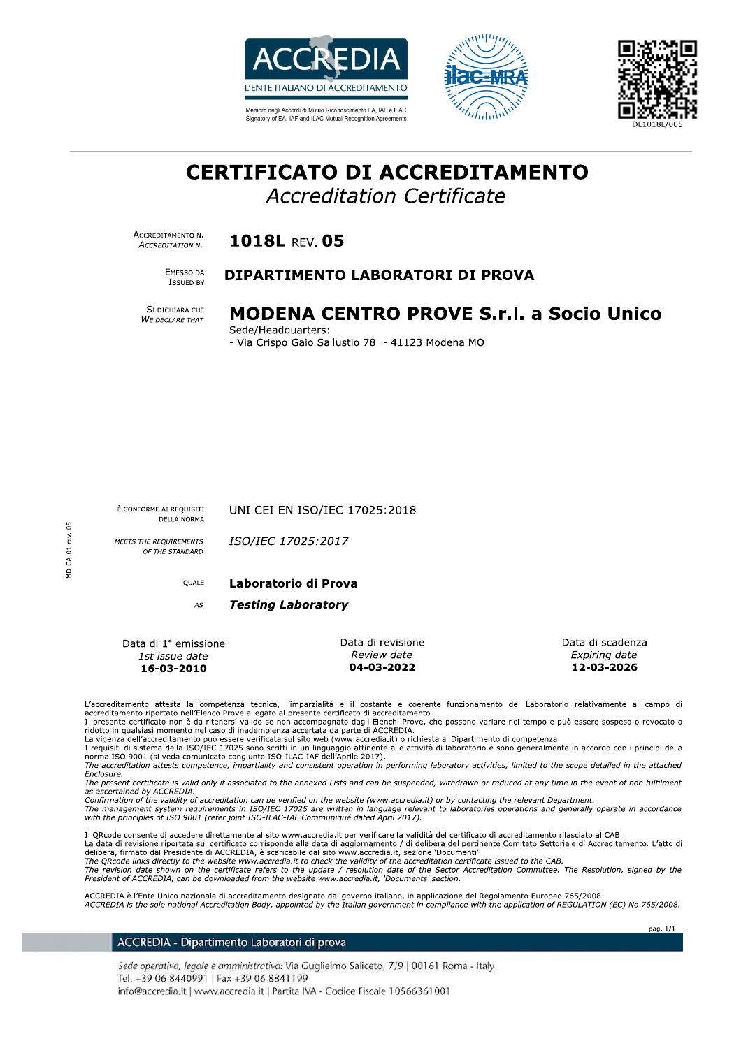

Membro degli Accordi di Mutuo Riconoscimento EA JAE e ILAC Signatory of EA, IAF and ILAC Mutual Recognition Agreements





# **CERTIFICATO DI ACCREDITAMENTO**

**Accreditation Certificate** 

ACCREDITAMENTO N. ACCREDITATION N.

1018L RFV. 05

EMESSO DA **ISSUED BY** 

### DIPARTIMENTO LABORATORI DI PROVA

SI DICHIARA CHE WE DECLARE THAT

# MODENA CENTRO PROVE S.r.l. a Socio Unico

Sede/Headquarters: - Via Crispo Gaio Sallustio 78 - 41123 Modena MO

È CONFORME AI REQUISITI **DELLA NORMA**  UNI CEI EN ISO/IEC 17025:2018

MEETS THE REQUIREMENTS OF THE STANDARD ISO/IEC 17025:2017

**OUALE** 

#### Laboratorio di Prova

**Testing Laboratory** AS

Data di 1ª emissione 1st issue date 16-03-2010

Data di revisione Review date 04-03-2022

Data di scadenza Expiring date 12-03-2026

pag. 1/1

L'accreditamento attesta la competenza tecnica, l'imparzialità e il costante e coerente funzionamento del Laboratorio relativamente al campo di<br>accreditamento riportato nell'Elenco Prove allegato al presente certificato di

Il presente certificato non è da ritenersi valido se non accompagnato dagli Elenchi Prove, che possono variare nel tempo e può essere sospeso o revocato o<br>ridotto in qualsiasi momento nel caso di inadempienza accertata da

La vigenza dell'accreditamento può essere verificata sul sito web (www.accredia.it) o richiesta al Dipartimento di competenza.<br>I requisiti di sistema della ISO/IEC 17025 sono scritti in un linguaggio attinente alle attivit norma ISO 9001 (si veda comunicato congiunto ISO-ILAC-IAF dell'Aprile 2017).<br>The accreditation attests competence, impartiality and consistent operation in performing laboratory activities, limited to the scope detailed in

Enclosure 

as ascertained by ACCREDIA.<br>Confirmation of the validity of accreditation can be verified on the website (www.accredia.it) or by contacting the relevant Department.

The management system requirements in ISO/IEC 17025 are written in language relevant to laboratories operations and generally operate in accordance<br>with the principles of ISO 9001 (refer joint ISO-ILAC-IAF Communiqué dated

Il QRcode consente di accedere direttamente al sito www.accredia.it per verificare la validità del certificato di accreditamento rilasciato al CAB. La data di revisione riportata sul certificato corrisponde alla data di aggiornamento / di delibera del pertinente Comitato Settoriale di Accreditamento. L'atto di<br>delibera, firmato dal Presidente di ACCREDIA, è scaricabil

The QRcode links directly to the website www.accredia.it to check the validity of the accreditation certificate issued to the CAB.<br>The QRcode links directly to the website www.accredia.it to check the validity of the accre President of ACCREDIA, can be downloaded from the website www.accredia.it, 'Documents' section.

ACCREDIA è l'Ente Unico nazionale di accreditamento designato dal governo italiano, in applicazione del Regolamento Europeo 765/2008.<br>ACCREDIA is the sole national Accreditation Body, appointed by the Italian government in

#### ACCREDIA - Dipartimento Laboratori di prova

Sede operativa, legale e amministrativa: Via Guglielmo Saliceto, 7/9 | 00161 Roma - Italy Tel. +39 06 8440991 | Fax +39 06 8841199 info@accredia.it | www.accredia.it | Partita IVA - Codice Fiscale 10566361001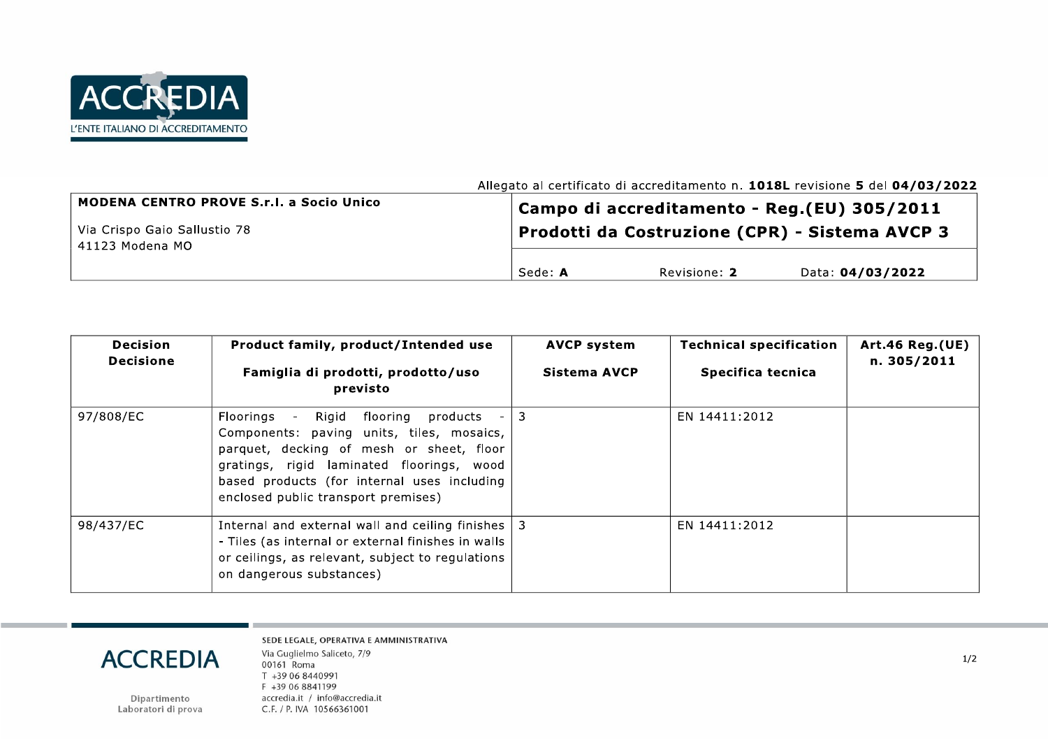

| <b>MODENA CENTRO PROVE S.r.l. a Socio Unico</b><br>Via Crispo Gaio Sallustio 78<br>41123 Modena MO |         |              | Campo di accreditamento - Reg.(EU) 305/2011<br>Prodotti da Costruzione (CPR) - Sistema AVCP 3 |
|----------------------------------------------------------------------------------------------------|---------|--------------|-----------------------------------------------------------------------------------------------|
|                                                                                                    | Sede: A | Revisione: 2 | Data: 04/03/2022                                                                              |

| <b>Decision</b><br><b>Decisione</b> | Product family, product/Intended use<br>Famiglia di prodotti, prodotto/uso<br>previsto                                                                                                                                                                                             | <b>AVCP system</b><br>Sistema AVCP | <b>Technical specification</b><br>Specifica tecnica | <b>Art.46 Reg.(UE)</b><br>n. 305/2011 |
|-------------------------------------|------------------------------------------------------------------------------------------------------------------------------------------------------------------------------------------------------------------------------------------------------------------------------------|------------------------------------|-----------------------------------------------------|---------------------------------------|
| 97/808/EC                           | Floorings -<br>Rigid<br>flooring<br>products<br>$\sim$<br>Components: paving units, tiles, mosaics,<br>parquet, decking of mesh or sheet, floor<br>gratings, rigid laminated floorings, wood<br>based products (for internal uses including<br>enclosed public transport premises) | 3                                  | EN 14411:2012                                       |                                       |
| 98/437/EC                           | Internal and external wall and ceiling finishes<br>- Tiles (as internal or external finishes in walls<br>or ceilings, as relevant, subject to regulations<br>on dangerous substances)                                                                                              | 3                                  | EN 14411:2012                                       |                                       |

# **ACCREDIA**

Dipartimento<br>Laboratori di prova

SEDE LEGALE, OPERATIVA E AMMINISTRATIVA Via Guglielmo Saliceto, 7/9 00161 Roma T +39 06 8440991 F +39 06 8841199 accredia.it / info@accredia.it C.F. / P. IVA 10566361001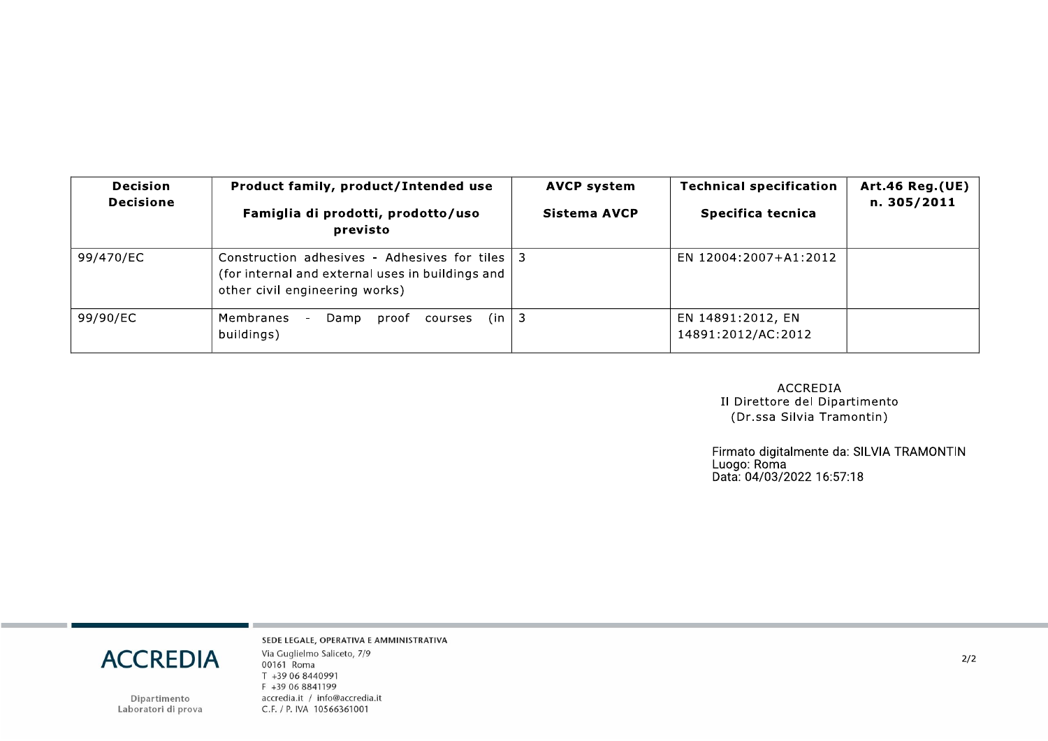| <b>Decision</b><br><b>Decisione</b> | Product family, product/Intended use<br>Famiglia di prodotti, prodotto/uso<br>previsto                                               | <b>AVCP system</b><br>Sistema AVCP | <b>Technical specification</b><br>Specifica tecnica | <b>Art.46 Reg.(UE)</b><br>n. 305/2011 |
|-------------------------------------|--------------------------------------------------------------------------------------------------------------------------------------|------------------------------------|-----------------------------------------------------|---------------------------------------|
| 99/470/EC                           | Construction adhesives - Adhesives for tiles 2<br>(for internal and external uses in buildings and<br>other civil engineering works) |                                    | EN 12004:2007+A1:2012                               |                                       |
| 99/90/EC                            | (in<br>Membranes<br>courses<br>Damp<br>proof<br>buildings)                                                                           | -3                                 | EN 14891:2012, EN<br>14891:2012/AC:2012             |                                       |

**ACCREDIA** Il Direttore del Dipartimento (Dr.ssa Silvia Tramontin)

Firmato digitalmente da: SILVIA TRAMONTIN<br>Luogo: Roma<br>Data: 04/03/2022 16:57:18

# **ACCREDIA**

Dipartimento<br>Laboratori di prova

SEDE LEGALE, OPERATIVA E AMMINISTRATIVA Via Guglielmo Saliceto, 7/9 00161 Roma T +39 06 8440991 F +39 06 8841199 accredia.it / info@accredia.it C.F. / P. IVA 10566361001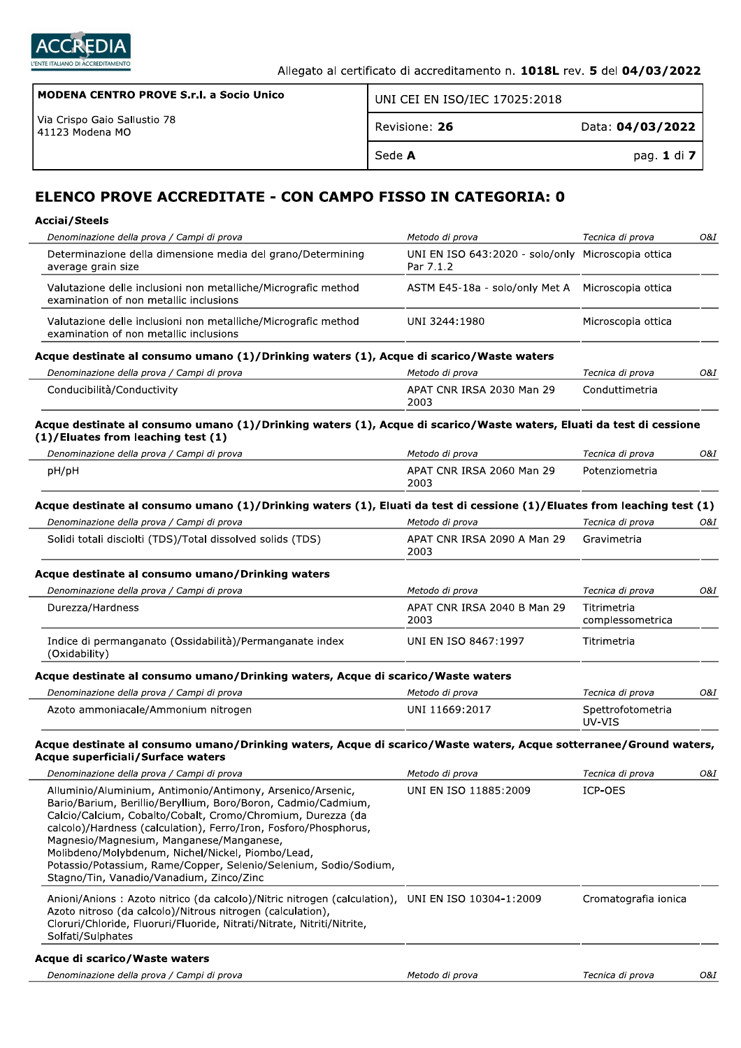

| MODENA CENTRO PROVE S.r.I. a Socio Unico            | UNI CEI EN ISO/IEC 17025:2018 |                  |
|-----------------------------------------------------|-------------------------------|------------------|
| l Via Crispo Gaio Sallustio 78<br>l 41123 Modena MO | Revisione: 26                 | Data: 04/03/2022 |
|                                                     | Sede <b>A</b>                 | pag. 1 di 7      |

# ELENCO PROVE ACCREDITATE - CON CAMPO FISSO IN CATEGORIA: 0

| <b>Acciai/Steels</b>                                                                                                                                                                                                                                                                                                                                                                                                                                                            |                                                                 |                                 |     |
|---------------------------------------------------------------------------------------------------------------------------------------------------------------------------------------------------------------------------------------------------------------------------------------------------------------------------------------------------------------------------------------------------------------------------------------------------------------------------------|-----------------------------------------------------------------|---------------------------------|-----|
| Denominazione della prova / Campi di prova                                                                                                                                                                                                                                                                                                                                                                                                                                      | Metodo di prova                                                 | Tecnica di prova                | 0&I |
| Determinazione della dimensione media del grano/Determining<br>average grain size                                                                                                                                                                                                                                                                                                                                                                                               | UNI EN ISO 643:2020 - solo/only Microscopia ottica<br>Par 7.1.2 |                                 |     |
| Valutazione delle inclusioni non metalliche/Micrografic method<br>examination of non metallic inclusions                                                                                                                                                                                                                                                                                                                                                                        | ASTM E45-18a - solo/only Met A                                  | Microscopia ottica              |     |
| Valutazione delle inclusioni non metalliche/Micrografic method<br>examination of non metallic inclusions                                                                                                                                                                                                                                                                                                                                                                        | UNI 3244:1980                                                   | Microscopia ottica              |     |
| Acque destinate al consumo umano (1)/Drinking waters (1), Acque di scarico/Waste waters                                                                                                                                                                                                                                                                                                                                                                                         |                                                                 |                                 |     |
| Denominazione della prova / Campi di prova                                                                                                                                                                                                                                                                                                                                                                                                                                      | Metodo di prova                                                 | Tecnica di prova                | O&I |
| Conducibilità/Conductivity                                                                                                                                                                                                                                                                                                                                                                                                                                                      | APAT CNR IRSA 2030 Man 29<br>2003                               | Conduttimetria                  |     |
| Acque destinate al consumo umano (1)/Drinking waters (1), Acque di scarico/Waste waters, Eluati da test di cessione<br>(1)/Eluates from leaching test (1)                                                                                                                                                                                                                                                                                                                       |                                                                 |                                 |     |
| Denominazione della prova / Campi di prova                                                                                                                                                                                                                                                                                                                                                                                                                                      | Metodo di prova                                                 | Tecnica di prova                | O&I |
| pH/pH                                                                                                                                                                                                                                                                                                                                                                                                                                                                           | APAT CNR IRSA 2060 Man 29<br>2003                               | Potenziometria                  |     |
| Acque destinate al consumo umano (1)/Drinking waters (1), Eluati da test di cessione (1)/Eluates from leaching test (1)                                                                                                                                                                                                                                                                                                                                                         |                                                                 |                                 |     |
| Denominazione della prova / Campi di prova                                                                                                                                                                                                                                                                                                                                                                                                                                      | Metodo di prova                                                 | Tecnica di prova                | O&I |
| Solidi totali disciolti (TDS)/Total dissolved solids (TDS)                                                                                                                                                                                                                                                                                                                                                                                                                      | APAT CNR IRSA 2090 A Man 29<br>2003                             | Gravimetria                     |     |
| Acque destinate al consumo umano/Drinking waters                                                                                                                                                                                                                                                                                                                                                                                                                                |                                                                 |                                 |     |
| Denominazione della prova / Campi di prova                                                                                                                                                                                                                                                                                                                                                                                                                                      | Metodo di prova                                                 | Tecnica di prova                | O&I |
| Durezza/Hardness                                                                                                                                                                                                                                                                                                                                                                                                                                                                | APAT CNR IRSA 2040 B Man 29<br>2003                             | Titrimetria<br>complessometrica |     |
| Indice di permanganato (Ossidabilità)/Permanganate index<br>(Oxidability)                                                                                                                                                                                                                                                                                                                                                                                                       | UNI EN ISO 8467:1997                                            | Titrimetria                     |     |
| Acque destinate al consumo umano/Drinking waters, Acque di scarico/Waste waters                                                                                                                                                                                                                                                                                                                                                                                                 |                                                                 |                                 |     |
| Denominazione della prova / Campi di prova                                                                                                                                                                                                                                                                                                                                                                                                                                      | Metodo di prova                                                 | Tecnica di prova                | O&I |
| Azoto ammoniacale/Ammonium nitrogen                                                                                                                                                                                                                                                                                                                                                                                                                                             | UNI 11669:2017                                                  | Spettrofotometria<br>UV-VIS     |     |
| Acque destinate al consumo umano/Drinking waters, Acque di scarico/Waste waters, Acque sotterranee/Ground waters,<br>Acque superficiali/Surface waters                                                                                                                                                                                                                                                                                                                          |                                                                 |                                 |     |
| Denominazione della prova / Campi di prova                                                                                                                                                                                                                                                                                                                                                                                                                                      | Metodo di prova                                                 | Tecnica di prova                | 0&I |
| Alluminio/Aluminium, Antimonio/Antimony, Arsenico/Arsenic,<br>Bario/Barium, Berillio/Beryllium, Boro/Boron, Cadmio/Cadmium,<br>Calcio/Calcium, Cobalto/Cobalt, Cromo/Chromium, Durezza (da<br>calcolo)/Hardness (calculation), Ferro/Iron, Fosforo/Phosphorus,<br>Magnesio/Magnesium, Manganese/Manganese,<br>Molibdeno/Molybdenum, Nichel/Nickel, Piombo/Lead,<br>Potassio/Potassium, Rame/Copper, Selenio/Selenium, Sodio/Sodium,<br>Stagno/Tin, Vanadio/Vanadium, Zinco/Zinc | UNI EN ISO 11885:2009                                           | ICP-OES                         |     |
| Anioni/Anions: Azoto nitrico (da calcolo)/Nitric nitrogen (calculation), UNI EN ISO 10304-1:2009<br>Azoto nitroso (da calcolo)/Nitrous nitrogen (calculation),<br>Cloruri/Chloride, Fluoruri/Fluoride, Nitrati/Nitrate, Nitriti/Nitrite,<br>Solfati/Sulphates                                                                                                                                                                                                                   |                                                                 | Cromatografia ionica            |     |
| Acque di scarico/Waste waters                                                                                                                                                                                                                                                                                                                                                                                                                                                   |                                                                 |                                 |     |
| Denominazione della prova / Campi di prova                                                                                                                                                                                                                                                                                                                                                                                                                                      | Metodo di prova                                                 | Tecnica di prova                | O&I |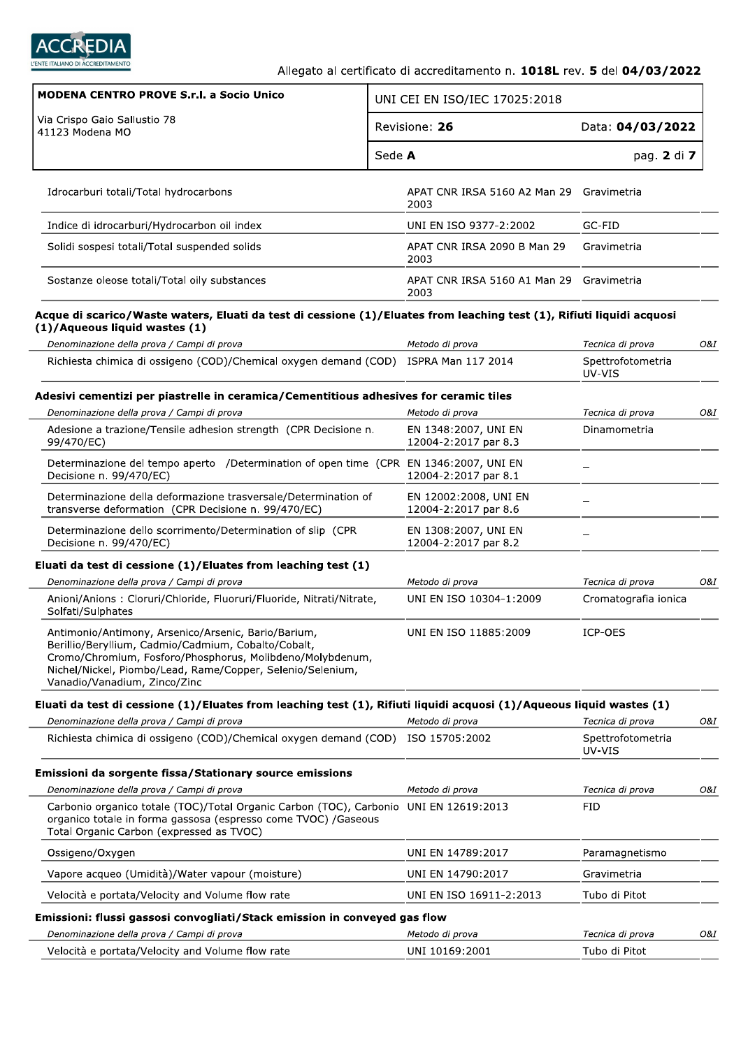

| <b>MODENA CENTRO PROVE S.r.I. a Socio Unico</b>                                                                                                                                                                                                                       |        | UNI CEI EN ISO/IEC 17025:2018                 |                                       |
|-----------------------------------------------------------------------------------------------------------------------------------------------------------------------------------------------------------------------------------------------------------------------|--------|-----------------------------------------------|---------------------------------------|
| Via Crispo Gaio Sallustio 78<br>41123 Modena MO                                                                                                                                                                                                                       |        | Revisione: 26                                 | Data: 04/03/2022                      |
|                                                                                                                                                                                                                                                                       | Sede A |                                               | pag. 2 di 7                           |
| Idrocarburi totali/Total hydrocarbons                                                                                                                                                                                                                                 |        | APAT CNR IRSA 5160 A2 Man 29<br>2003          | Gravimetria                           |
| Indice di idrocarburi/Hydrocarbon oil index                                                                                                                                                                                                                           |        | UNI EN ISO 9377-2:2002                        | GC-FID                                |
| Solidi sospesi totali/Total suspended solids                                                                                                                                                                                                                          |        | APAT CNR IRSA 2090 B Man 29<br>2003           | Gravimetria                           |
| Sostanze oleose totali/Total oily substances                                                                                                                                                                                                                          |        | APAT CNR IRSA 5160 A1 Man 29<br>2003          | Gravimetria                           |
| Acque di scarico/Waste waters, Eluati da test di cessione (1)/Eluates from leaching test (1), Rifiuti liquidi acquosi<br>(1)/Aqueous liquid wastes (1)                                                                                                                |        |                                               |                                       |
| Denominazione della prova / Campi di prova                                                                                                                                                                                                                            |        | Metodo di prova                               | Tecnica di prova                      |
| Richiesta chimica di ossigeno (COD)/Chemical oxygen demand (COD) ISPRA Man 117 2014                                                                                                                                                                                   |        |                                               | Spettrofotometria<br>UV-VIS           |
| Adesivi cementizi per piastrelle in ceramica/Cementitious adhesives for ceramic tiles                                                                                                                                                                                 |        |                                               |                                       |
| Denominazione della prova / Campi di prova<br>Adesione a trazione/Tensile adhesion strength (CPR Decisione n.                                                                                                                                                         |        | Metodo di prova<br>EN 1348:2007, UNI EN       | Tecnica di prova<br>Dinamometria      |
| 99/470/EC)                                                                                                                                                                                                                                                            |        | 12004-2:2017 par 8.3                          |                                       |
| Determinazione del tempo aperto / Determination of open time (CPR EN 1346:2007, UNI EN<br>Decisione n. 99/470/EC)                                                                                                                                                     |        | 12004-2:2017 par 8.1                          |                                       |
| Determinazione della deformazione trasversale/Determination of<br>transverse deformation (CPR Decisione n. 99/470/EC)                                                                                                                                                 |        | EN 12002:2008, UNI EN<br>12004-2:2017 par 8.6 |                                       |
| Determinazione dello scorrimento/Determination of slip (CPR<br>Decisione n. 99/470/EC)                                                                                                                                                                                |        | EN 1308:2007, UNI EN<br>12004-2:2017 par 8.2  |                                       |
| Eluati da test di cessione $(1)/$ Eluates from leaching test $(1)$                                                                                                                                                                                                    |        |                                               |                                       |
| Denominazione della prova / Campi di prova                                                                                                                                                                                                                            |        | Metodo di prova                               | Tecnica di prova                      |
| Anioni/Anions: Cloruri/Chloride, Fluoruri/Fluoride, Nitrati/Nitrate,<br>Solfati/Sulphates                                                                                                                                                                             |        | UNI EN ISO 10304-1:2009                       | Cromatografia ionica                  |
| Antimonio/Antimony, Arsenico/Arsenic, Bario/Barium,<br>Berillio/Beryllium, Cadmio/Cadmium, Cobalto/Cobalt,<br>Cromo/Chromium, Fosforo/Phosphorus, Molibdeno/Molybdenum,<br>Nichel/Nickel, Piombo/Lead, Rame/Copper, Selenio/Selenium,<br>Vanadio/Vanadium, Zinco/Zinc |        | UNI EN ISO 11885:2009                         | ICP-OES                               |
| Eluati da test di cessione (1)/Eluates from leaching test (1), Rifiuti liquidi acquosi (1)/Aqueous liquid wastes (1)<br>Denominazione della prova / Campi di prova                                                                                                    |        | Metodo di prova                               |                                       |
| Richiesta chimica di ossigeno (COD)/Chemical oxygen demand (COD) ISO 15705:2002                                                                                                                                                                                       |        |                                               | Tecnica di prova<br>Spettrofotometria |
|                                                                                                                                                                                                                                                                       |        |                                               | UV-VIS                                |
| Emissioni da sorgente fissa/Stationary source emissions                                                                                                                                                                                                               |        |                                               |                                       |
| Denominazione della prova / Campi di prova<br>Carbonio organico totale (TOC)/Total Organic Carbon (TOC), Carbonio UNI EN 12619:2013<br>organico totale in forma gassosa (espresso come TVOC) /Gaseous                                                                 |        | Metodo di prova                               | Tecnica di prova<br>FID               |
| Total Organic Carbon (expressed as TVOC)                                                                                                                                                                                                                              |        |                                               |                                       |
| Ossigeno/Oxygen                                                                                                                                                                                                                                                       |        | UNI EN 14789:2017                             | Paramagnetismo                        |
| Vapore acqueo (Umidità)/Water vapour (moisture)                                                                                                                                                                                                                       |        | UNI EN 14790:2017                             | Gravimetria                           |
| Velocità e portata/Velocity and Volume flow rate                                                                                                                                                                                                                      |        | UNI EN ISO 16911-2:2013                       | Tubo di Pitot                         |
| Emissioni: flussi gassosi convogliati/Stack emission in conveyed gas flow<br>Denominazione della prova / Campi di prova                                                                                                                                               |        | Metodo di prova                               | Tecnica di prova                      |
| Velocità e portata/Velocity and Volume flow rate                                                                                                                                                                                                                      |        | UNI 10169:2001                                | Tubo di Pitot                         |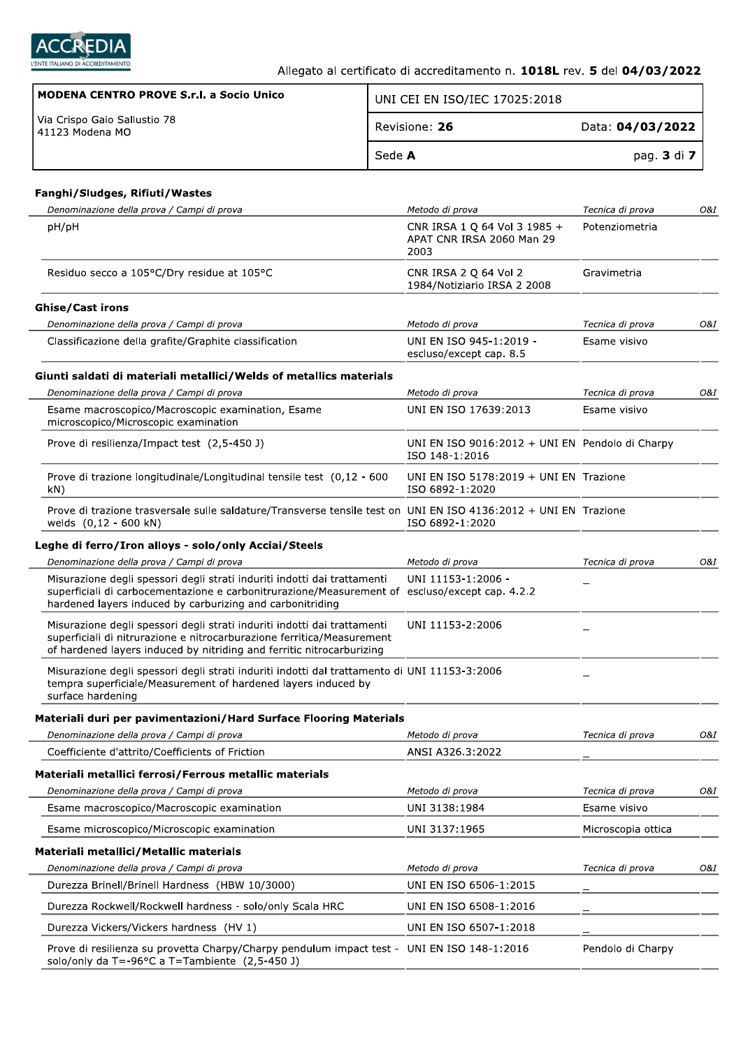

٦

| MODENA CENTRO PROVE S.r.I. a Socio Unico            | UNI CEI EN ISO/IEC 17025:2018 |                  |
|-----------------------------------------------------|-------------------------------|------------------|
| l Via Crispo Gaio Sallustio 78<br>l 41123 Modena MO | Revisione: 26                 | Data: 04/03/2022 |
|                                                     | Sede A                        | pag. 3 di 7      |

÷

#### Fanghi/Sludges, Rifiuti/Wastes

| Denominazione della prova / Campi di prova                                                                                                                                                                                              | Metodo di prova                                                   | Tecnica di prova   | O&I |
|-----------------------------------------------------------------------------------------------------------------------------------------------------------------------------------------------------------------------------------------|-------------------------------------------------------------------|--------------------|-----|
| pH/pH                                                                                                                                                                                                                                   | CNR IRSA 1 Q 64 Vol 3 1985 +<br>APAT CNR IRSA 2060 Man 29<br>2003 | Potenziometria     |     |
| Residuo secco a 105°C/Dry residue at 105°C                                                                                                                                                                                              | CNR IRSA 2 Q 64 Vol 2<br>1984/Notiziario IRSA 2 2008              | Gravimetria        |     |
| <b>Ghise/Cast irons</b>                                                                                                                                                                                                                 |                                                                   |                    |     |
| Denominazione della prova / Campi di prova                                                                                                                                                                                              | Metodo di prova                                                   | Tecnica di prova   | O&I |
| Classificazione della grafite/Graphite classification                                                                                                                                                                                   | UNI EN ISO 945-1:2019 -<br>escluso/except cap. 8.5                | Esame visivo       |     |
| Giunti saldati di materiali metallici/Welds of metallics materials                                                                                                                                                                      |                                                                   |                    |     |
| Denominazione della prova / Campi di prova                                                                                                                                                                                              | Metodo di prova                                                   | Tecnica di prova   | O&I |
| Esame macroscopico/Macroscopic examination, Esame<br>microscopico/Microscopic examination                                                                                                                                               | UNI EN ISO 17639:2013                                             | Esame visivo       |     |
| Prove di resilienza/Impact test (2,5-450 J)                                                                                                                                                                                             | UNI EN ISO 9016:2012 + UNI EN Pendolo di Charpy<br>ISO 148-1:2016 |                    |     |
| Prove di trazione longitudinale/Longitudinal tensile test (0,12 - 600<br>kN)                                                                                                                                                            | UNI EN ISO 5178:2019 + UNI EN Trazione<br>ISO 6892-1:2020         |                    |     |
| Prove di trazione trasversale sulle saldature/Transverse tensile test on UNI EN ISO 4136:2012 + UNI EN Trazione<br>welds (0,12 - 600 kN)                                                                                                | ISO 6892-1:2020                                                   |                    |     |
| Leghe di ferro/Iron alloys - solo/only Acciai/Steels                                                                                                                                                                                    |                                                                   |                    |     |
| Denominazione della prova / Campi di prova                                                                                                                                                                                              | Metodo di prova                                                   | Tecnica di prova   | O&I |
| Misurazione degli spessori degli strati induriti indotti dai trattamenti<br>superficiali di carbocementazione e carbonitrurazione/Measurement of escluso/except cap. 4.2.2<br>hardened layers induced by carburizing and carbonitriding | UNI 11153-1:2006 -                                                |                    |     |
| Misurazione degli spessori degli strati induriti indotti dai trattamenti<br>superficiali di nitrurazione e nitrocarburazione ferritica/Measurement<br>of hardened layers induced by nitriding and ferritic nitrocarburizing             | UNI 11153-2:2006                                                  |                    |     |
| Misurazione degli spessori degli strati induriti indotti dal trattamento di UNI 11153-3:2006<br>tempra superficiale/Measurement of hardened layers induced by<br>surface hardening                                                      |                                                                   |                    |     |
| Materiali duri per pavimentazioni/Hard Surface Flooring Materials                                                                                                                                                                       |                                                                   |                    |     |
| Denominazione della prova / Campi di prova                                                                                                                                                                                              | Metodo di prova                                                   | Tecnica di prova   | O&I |
| Coefficiente d'attrito/Coefficients of Friction                                                                                                                                                                                         | ANSI A326.3:2022                                                  |                    |     |
| Materiali metallici ferrosi/Ferrous metallic materials                                                                                                                                                                                  |                                                                   |                    |     |
| Denominazione della prova / Campi di prova                                                                                                                                                                                              | Metodo di prova                                                   | Tecnica di prova   | O&I |
| Esame macroscopico/Macroscopic examination                                                                                                                                                                                              | UNI 3138:1984                                                     | Esame visivo       |     |
| Esame microscopico/Microscopic examination                                                                                                                                                                                              | UNI 3137:1965                                                     | Microscopia ottica |     |
|                                                                                                                                                                                                                                         |                                                                   |                    |     |
| Materiali metallici/Metallic materials                                                                                                                                                                                                  |                                                                   |                    |     |
| Denominazione della prova / Campi di prova                                                                                                                                                                                              | Metodo di prova                                                   | Tecnica di prova   | O&I |
| Durezza Brinell/Brinell Hardness (HBW 10/3000)                                                                                                                                                                                          | UNI EN ISO 6506-1:2015                                            |                    |     |
| Durezza Rockwell/Rockwell hardness - solo/only Scala HRC                                                                                                                                                                                | UNI EN ISO 6508-1:2016                                            |                    |     |
| Durezza Vickers/Vickers hardness (HV 1)                                                                                                                                                                                                 | UNI EN ISO 6507-1:2018                                            |                    |     |
| Prove di resilienza su provetta Charpy/Charpy pendulum impact test - UNI EN ISO 148-1:2016<br>solo/only da T=-96 $\degree$ C a T=Tambiente (2,5-450 J)                                                                                  |                                                                   | Pendolo di Charpy  |     |
|                                                                                                                                                                                                                                         |                                                                   |                    |     |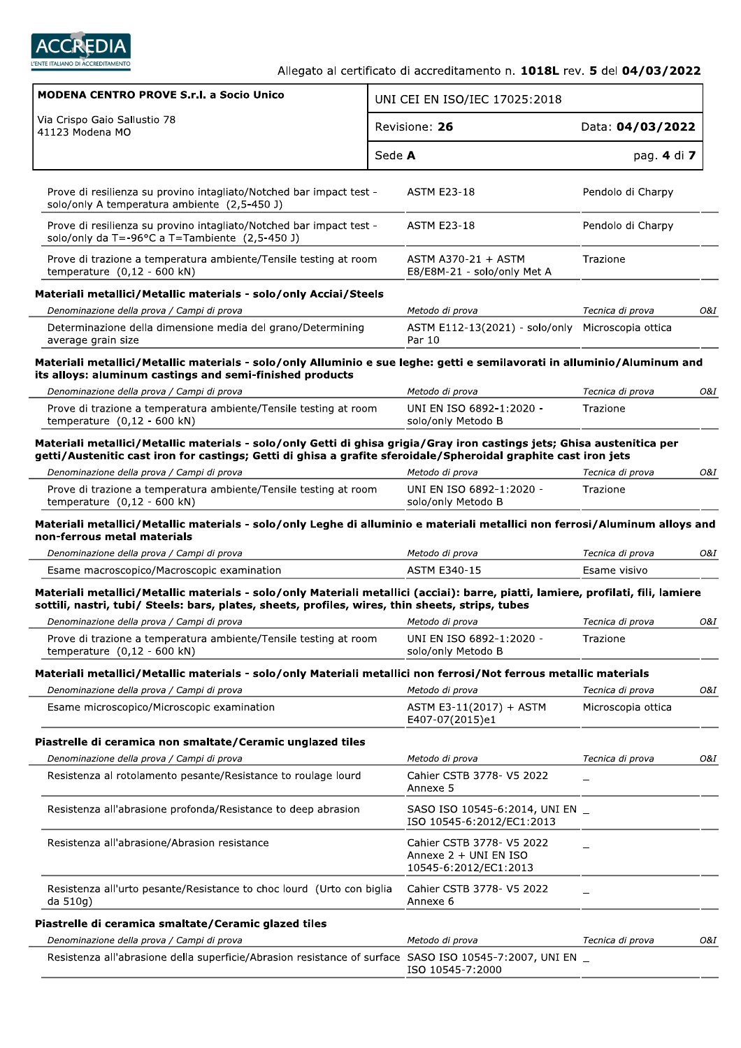

| Via Crispo Gaio Sallustio 78<br>Revisione: 26<br>Data: 04/03/2022<br>41123 Modena MO<br>Sede A<br>pag. 4 di 7<br>Prove di resilienza su provino intagliato/Notched bar impact test -<br><b>ASTM E23-18</b><br>Pendolo di Charpy<br>solo/only A temperatura ambiente (2,5-450 J)<br>Pendolo di Charpy<br>Prove di resilienza su provino intagliato/Notched bar impact test -<br><b>ASTM E23-18</b><br>solo/only da T=-96°C a T=Tambiente (2,5-450 J)<br>ASTM A370-21 + ASTM<br>Prove di trazione a temperatura ambiente/Tensile testing at room<br>Trazione<br>temperature $(0,12 - 600$ kN)<br>E8/E8M-21 - solo/only Met A<br>Materiali metallici/Metallic materials - solo/only Acciai/Steels<br>Denominazione della prova / Campi di prova<br>Metodo di prova<br>Tecnica di prova<br>Determinazione della dimensione media del grano/Determining<br>ASTM E112-13(2021) - solo/only Microscopia ottica<br>Par 10<br>average grain size<br>Materiali metallici/Metallic materials - solo/only Alluminio e sue leghe: getti e semilavorati in alluminio/Aluminum and<br>its alloys: aluminum castings and semi-finished products<br>Denominazione della prova / Campi di prova<br>Metodo di prova<br>Tecnica di prova<br>UNI EN ISO 6892-1:2020 -<br>Prove di trazione a temperatura ambiente/Tensile testing at room<br>Trazione<br>temperature $(0,12 - 600 kN)$<br>solo/only Metodo B<br>Materiali metallici/Metallic materials - solo/only Getti di ghisa grigia/Gray iron castings jets; Ghisa austenitica per<br>getti/Austenitic cast iron for castings; Getti di ghisa a grafite sferoidale/Spheroidal graphite cast iron jets<br>Denominazione della prova / Campi di prova<br>Metodo di prova<br>Tecnica di prova<br>UNI EN ISO 6892-1:2020 -<br>Prove di trazione a temperatura ambiente/Tensile testing at room<br>Trazione<br>temperature $(0,12 - 600 kN)$<br>solo/only Metodo B<br>Materiali metallici/Metallic materials - solo/only Leghe di alluminio e materiali metallici non ferrosi/Aluminum alloys and<br>non-ferrous metal materials<br>Denominazione della prova / Campi di prova<br>Metodo di prova<br>Tecnica di prova<br><b>ASTM E340-15</b><br>Esame macroscopico/Macroscopic examination<br>Esame visivo<br>Materiali metallici/Metallic materials - solo/only Materiali metallici (acciai): barre, piatti, lamiere, profilati, fili, lamiere<br>sottili, nastri, tubi/ Steels: bars, plates, sheets, profiles, wires, thin sheets, strips, tubes<br>Denominazione della prova / Campi di prova<br>Metodo di prova<br>Tecnica di prova<br>Prove di trazione a temperatura ambiente/Tensile testing at room<br>UNI EN ISO 6892-1:2020 -<br>Trazione<br>temperature $(0,12 - 600$ kN)<br>solo/only Metodo B<br>Materiali metallici/Metallic materials - solo/only Materiali metallici non ferrosi/Not ferrous metallic materials<br>Denominazione della prova / Campi di prova<br>Metodo di prova<br>Tecnica di prova<br>Esame microscopico/Microscopic examination<br>ASTM E3-11(2017) + ASTM<br>Microscopia ottica<br>E407-07(2015)e1<br>Piastrelle di ceramica non smaltate/Ceramic unglazed tiles |     |
|----------------------------------------------------------------------------------------------------------------------------------------------------------------------------------------------------------------------------------------------------------------------------------------------------------------------------------------------------------------------------------------------------------------------------------------------------------------------------------------------------------------------------------------------------------------------------------------------------------------------------------------------------------------------------------------------------------------------------------------------------------------------------------------------------------------------------------------------------------------------------------------------------------------------------------------------------------------------------------------------------------------------------------------------------------------------------------------------------------------------------------------------------------------------------------------------------------------------------------------------------------------------------------------------------------------------------------------------------------------------------------------------------------------------------------------------------------------------------------------------------------------------------------------------------------------------------------------------------------------------------------------------------------------------------------------------------------------------------------------------------------------------------------------------------------------------------------------------------------------------------------------------------------------------------------------------------------------------------------------------------------------------------------------------------------------------------------------------------------------------------------------------------------------------------------------------------------------------------------------------------------------------------------------------------------------------------------------------------------------------------------------------------------------------------------------------------------------------------------------------------------------------------------------------------------------------------------------------------------------------------------------------------------------------------------------------------------------------------------------------------------------------------------------------------------------------------------------------------------------------------------------------------------------------------------------------------------------------------------------------------------------------------------------------------------------------------------------------------------------------------------|-----|
|                                                                                                                                                                                                                                                                                                                                                                                                                                                                                                                                                                                                                                                                                                                                                                                                                                                                                                                                                                                                                                                                                                                                                                                                                                                                                                                                                                                                                                                                                                                                                                                                                                                                                                                                                                                                                                                                                                                                                                                                                                                                                                                                                                                                                                                                                                                                                                                                                                                                                                                                                                                                                                                                                                                                                                                                                                                                                                                                                                                                                                                                                                                                  |     |
|                                                                                                                                                                                                                                                                                                                                                                                                                                                                                                                                                                                                                                                                                                                                                                                                                                                                                                                                                                                                                                                                                                                                                                                                                                                                                                                                                                                                                                                                                                                                                                                                                                                                                                                                                                                                                                                                                                                                                                                                                                                                                                                                                                                                                                                                                                                                                                                                                                                                                                                                                                                                                                                                                                                                                                                                                                                                                                                                                                                                                                                                                                                                  |     |
|                                                                                                                                                                                                                                                                                                                                                                                                                                                                                                                                                                                                                                                                                                                                                                                                                                                                                                                                                                                                                                                                                                                                                                                                                                                                                                                                                                                                                                                                                                                                                                                                                                                                                                                                                                                                                                                                                                                                                                                                                                                                                                                                                                                                                                                                                                                                                                                                                                                                                                                                                                                                                                                                                                                                                                                                                                                                                                                                                                                                                                                                                                                                  |     |
|                                                                                                                                                                                                                                                                                                                                                                                                                                                                                                                                                                                                                                                                                                                                                                                                                                                                                                                                                                                                                                                                                                                                                                                                                                                                                                                                                                                                                                                                                                                                                                                                                                                                                                                                                                                                                                                                                                                                                                                                                                                                                                                                                                                                                                                                                                                                                                                                                                                                                                                                                                                                                                                                                                                                                                                                                                                                                                                                                                                                                                                                                                                                  |     |
|                                                                                                                                                                                                                                                                                                                                                                                                                                                                                                                                                                                                                                                                                                                                                                                                                                                                                                                                                                                                                                                                                                                                                                                                                                                                                                                                                                                                                                                                                                                                                                                                                                                                                                                                                                                                                                                                                                                                                                                                                                                                                                                                                                                                                                                                                                                                                                                                                                                                                                                                                                                                                                                                                                                                                                                                                                                                                                                                                                                                                                                                                                                                  |     |
|                                                                                                                                                                                                                                                                                                                                                                                                                                                                                                                                                                                                                                                                                                                                                                                                                                                                                                                                                                                                                                                                                                                                                                                                                                                                                                                                                                                                                                                                                                                                                                                                                                                                                                                                                                                                                                                                                                                                                                                                                                                                                                                                                                                                                                                                                                                                                                                                                                                                                                                                                                                                                                                                                                                                                                                                                                                                                                                                                                                                                                                                                                                                  |     |
|                                                                                                                                                                                                                                                                                                                                                                                                                                                                                                                                                                                                                                                                                                                                                                                                                                                                                                                                                                                                                                                                                                                                                                                                                                                                                                                                                                                                                                                                                                                                                                                                                                                                                                                                                                                                                                                                                                                                                                                                                                                                                                                                                                                                                                                                                                                                                                                                                                                                                                                                                                                                                                                                                                                                                                                                                                                                                                                                                                                                                                                                                                                                  | O&I |
|                                                                                                                                                                                                                                                                                                                                                                                                                                                                                                                                                                                                                                                                                                                                                                                                                                                                                                                                                                                                                                                                                                                                                                                                                                                                                                                                                                                                                                                                                                                                                                                                                                                                                                                                                                                                                                                                                                                                                                                                                                                                                                                                                                                                                                                                                                                                                                                                                                                                                                                                                                                                                                                                                                                                                                                                                                                                                                                                                                                                                                                                                                                                  |     |
|                                                                                                                                                                                                                                                                                                                                                                                                                                                                                                                                                                                                                                                                                                                                                                                                                                                                                                                                                                                                                                                                                                                                                                                                                                                                                                                                                                                                                                                                                                                                                                                                                                                                                                                                                                                                                                                                                                                                                                                                                                                                                                                                                                                                                                                                                                                                                                                                                                                                                                                                                                                                                                                                                                                                                                                                                                                                                                                                                                                                                                                                                                                                  |     |
|                                                                                                                                                                                                                                                                                                                                                                                                                                                                                                                                                                                                                                                                                                                                                                                                                                                                                                                                                                                                                                                                                                                                                                                                                                                                                                                                                                                                                                                                                                                                                                                                                                                                                                                                                                                                                                                                                                                                                                                                                                                                                                                                                                                                                                                                                                                                                                                                                                                                                                                                                                                                                                                                                                                                                                                                                                                                                                                                                                                                                                                                                                                                  | 0&I |
|                                                                                                                                                                                                                                                                                                                                                                                                                                                                                                                                                                                                                                                                                                                                                                                                                                                                                                                                                                                                                                                                                                                                                                                                                                                                                                                                                                                                                                                                                                                                                                                                                                                                                                                                                                                                                                                                                                                                                                                                                                                                                                                                                                                                                                                                                                                                                                                                                                                                                                                                                                                                                                                                                                                                                                                                                                                                                                                                                                                                                                                                                                                                  |     |
|                                                                                                                                                                                                                                                                                                                                                                                                                                                                                                                                                                                                                                                                                                                                                                                                                                                                                                                                                                                                                                                                                                                                                                                                                                                                                                                                                                                                                                                                                                                                                                                                                                                                                                                                                                                                                                                                                                                                                                                                                                                                                                                                                                                                                                                                                                                                                                                                                                                                                                                                                                                                                                                                                                                                                                                                                                                                                                                                                                                                                                                                                                                                  |     |
|                                                                                                                                                                                                                                                                                                                                                                                                                                                                                                                                                                                                                                                                                                                                                                                                                                                                                                                                                                                                                                                                                                                                                                                                                                                                                                                                                                                                                                                                                                                                                                                                                                                                                                                                                                                                                                                                                                                                                                                                                                                                                                                                                                                                                                                                                                                                                                                                                                                                                                                                                                                                                                                                                                                                                                                                                                                                                                                                                                                                                                                                                                                                  |     |
|                                                                                                                                                                                                                                                                                                                                                                                                                                                                                                                                                                                                                                                                                                                                                                                                                                                                                                                                                                                                                                                                                                                                                                                                                                                                                                                                                                                                                                                                                                                                                                                                                                                                                                                                                                                                                                                                                                                                                                                                                                                                                                                                                                                                                                                                                                                                                                                                                                                                                                                                                                                                                                                                                                                                                                                                                                                                                                                                                                                                                                                                                                                                  | O&I |
|                                                                                                                                                                                                                                                                                                                                                                                                                                                                                                                                                                                                                                                                                                                                                                                                                                                                                                                                                                                                                                                                                                                                                                                                                                                                                                                                                                                                                                                                                                                                                                                                                                                                                                                                                                                                                                                                                                                                                                                                                                                                                                                                                                                                                                                                                                                                                                                                                                                                                                                                                                                                                                                                                                                                                                                                                                                                                                                                                                                                                                                                                                                                  |     |
|                                                                                                                                                                                                                                                                                                                                                                                                                                                                                                                                                                                                                                                                                                                                                                                                                                                                                                                                                                                                                                                                                                                                                                                                                                                                                                                                                                                                                                                                                                                                                                                                                                                                                                                                                                                                                                                                                                                                                                                                                                                                                                                                                                                                                                                                                                                                                                                                                                                                                                                                                                                                                                                                                                                                                                                                                                                                                                                                                                                                                                                                                                                                  |     |
|                                                                                                                                                                                                                                                                                                                                                                                                                                                                                                                                                                                                                                                                                                                                                                                                                                                                                                                                                                                                                                                                                                                                                                                                                                                                                                                                                                                                                                                                                                                                                                                                                                                                                                                                                                                                                                                                                                                                                                                                                                                                                                                                                                                                                                                                                                                                                                                                                                                                                                                                                                                                                                                                                                                                                                                                                                                                                                                                                                                                                                                                                                                                  | O&I |
|                                                                                                                                                                                                                                                                                                                                                                                                                                                                                                                                                                                                                                                                                                                                                                                                                                                                                                                                                                                                                                                                                                                                                                                                                                                                                                                                                                                                                                                                                                                                                                                                                                                                                                                                                                                                                                                                                                                                                                                                                                                                                                                                                                                                                                                                                                                                                                                                                                                                                                                                                                                                                                                                                                                                                                                                                                                                                                                                                                                                                                                                                                                                  |     |
|                                                                                                                                                                                                                                                                                                                                                                                                                                                                                                                                                                                                                                                                                                                                                                                                                                                                                                                                                                                                                                                                                                                                                                                                                                                                                                                                                                                                                                                                                                                                                                                                                                                                                                                                                                                                                                                                                                                                                                                                                                                                                                                                                                                                                                                                                                                                                                                                                                                                                                                                                                                                                                                                                                                                                                                                                                                                                                                                                                                                                                                                                                                                  |     |
|                                                                                                                                                                                                                                                                                                                                                                                                                                                                                                                                                                                                                                                                                                                                                                                                                                                                                                                                                                                                                                                                                                                                                                                                                                                                                                                                                                                                                                                                                                                                                                                                                                                                                                                                                                                                                                                                                                                                                                                                                                                                                                                                                                                                                                                                                                                                                                                                                                                                                                                                                                                                                                                                                                                                                                                                                                                                                                                                                                                                                                                                                                                                  | O&I |
|                                                                                                                                                                                                                                                                                                                                                                                                                                                                                                                                                                                                                                                                                                                                                                                                                                                                                                                                                                                                                                                                                                                                                                                                                                                                                                                                                                                                                                                                                                                                                                                                                                                                                                                                                                                                                                                                                                                                                                                                                                                                                                                                                                                                                                                                                                                                                                                                                                                                                                                                                                                                                                                                                                                                                                                                                                                                                                                                                                                                                                                                                                                                  |     |
|                                                                                                                                                                                                                                                                                                                                                                                                                                                                                                                                                                                                                                                                                                                                                                                                                                                                                                                                                                                                                                                                                                                                                                                                                                                                                                                                                                                                                                                                                                                                                                                                                                                                                                                                                                                                                                                                                                                                                                                                                                                                                                                                                                                                                                                                                                                                                                                                                                                                                                                                                                                                                                                                                                                                                                                                                                                                                                                                                                                                                                                                                                                                  |     |
|                                                                                                                                                                                                                                                                                                                                                                                                                                                                                                                                                                                                                                                                                                                                                                                                                                                                                                                                                                                                                                                                                                                                                                                                                                                                                                                                                                                                                                                                                                                                                                                                                                                                                                                                                                                                                                                                                                                                                                                                                                                                                                                                                                                                                                                                                                                                                                                                                                                                                                                                                                                                                                                                                                                                                                                                                                                                                                                                                                                                                                                                                                                                  | O&I |
|                                                                                                                                                                                                                                                                                                                                                                                                                                                                                                                                                                                                                                                                                                                                                                                                                                                                                                                                                                                                                                                                                                                                                                                                                                                                                                                                                                                                                                                                                                                                                                                                                                                                                                                                                                                                                                                                                                                                                                                                                                                                                                                                                                                                                                                                                                                                                                                                                                                                                                                                                                                                                                                                                                                                                                                                                                                                                                                                                                                                                                                                                                                                  |     |
|                                                                                                                                                                                                                                                                                                                                                                                                                                                                                                                                                                                                                                                                                                                                                                                                                                                                                                                                                                                                                                                                                                                                                                                                                                                                                                                                                                                                                                                                                                                                                                                                                                                                                                                                                                                                                                                                                                                                                                                                                                                                                                                                                                                                                                                                                                                                                                                                                                                                                                                                                                                                                                                                                                                                                                                                                                                                                                                                                                                                                                                                                                                                  |     |
| Denominazione della prova / Campi di prova<br>Metodo di prova<br>Tecnica di prova                                                                                                                                                                                                                                                                                                                                                                                                                                                                                                                                                                                                                                                                                                                                                                                                                                                                                                                                                                                                                                                                                                                                                                                                                                                                                                                                                                                                                                                                                                                                                                                                                                                                                                                                                                                                                                                                                                                                                                                                                                                                                                                                                                                                                                                                                                                                                                                                                                                                                                                                                                                                                                                                                                                                                                                                                                                                                                                                                                                                                                                | O&I |
| Resistenza al rotolamento pesante/Resistance to roulage lourd<br>Cahier CSTB 3778- V5 2022<br>Annexe 5                                                                                                                                                                                                                                                                                                                                                                                                                                                                                                                                                                                                                                                                                                                                                                                                                                                                                                                                                                                                                                                                                                                                                                                                                                                                                                                                                                                                                                                                                                                                                                                                                                                                                                                                                                                                                                                                                                                                                                                                                                                                                                                                                                                                                                                                                                                                                                                                                                                                                                                                                                                                                                                                                                                                                                                                                                                                                                                                                                                                                           |     |
| Resistenza all'abrasione profonda/Resistance to deep abrasion<br>SASO ISO 10545-6:2014, UNI EN _<br>ISO 10545-6:2012/EC1:2013                                                                                                                                                                                                                                                                                                                                                                                                                                                                                                                                                                                                                                                                                                                                                                                                                                                                                                                                                                                                                                                                                                                                                                                                                                                                                                                                                                                                                                                                                                                                                                                                                                                                                                                                                                                                                                                                                                                                                                                                                                                                                                                                                                                                                                                                                                                                                                                                                                                                                                                                                                                                                                                                                                                                                                                                                                                                                                                                                                                                    |     |
| Resistenza all'abrasione/Abrasion resistance<br>Cahier CSTB 3778- V5 2022<br>Annexe 2 + UNI EN ISO<br>10545-6:2012/EC1:2013                                                                                                                                                                                                                                                                                                                                                                                                                                                                                                                                                                                                                                                                                                                                                                                                                                                                                                                                                                                                                                                                                                                                                                                                                                                                                                                                                                                                                                                                                                                                                                                                                                                                                                                                                                                                                                                                                                                                                                                                                                                                                                                                                                                                                                                                                                                                                                                                                                                                                                                                                                                                                                                                                                                                                                                                                                                                                                                                                                                                      |     |
| Resistenza all'urto pesante/Resistance to choc lourd (Urto con biglia<br>Cahier CSTB 3778- V5 2022<br>da 510g)<br>Annexe 6                                                                                                                                                                                                                                                                                                                                                                                                                                                                                                                                                                                                                                                                                                                                                                                                                                                                                                                                                                                                                                                                                                                                                                                                                                                                                                                                                                                                                                                                                                                                                                                                                                                                                                                                                                                                                                                                                                                                                                                                                                                                                                                                                                                                                                                                                                                                                                                                                                                                                                                                                                                                                                                                                                                                                                                                                                                                                                                                                                                                       |     |
| Piastrelle di ceramica smaltate/Ceramic glazed tiles                                                                                                                                                                                                                                                                                                                                                                                                                                                                                                                                                                                                                                                                                                                                                                                                                                                                                                                                                                                                                                                                                                                                                                                                                                                                                                                                                                                                                                                                                                                                                                                                                                                                                                                                                                                                                                                                                                                                                                                                                                                                                                                                                                                                                                                                                                                                                                                                                                                                                                                                                                                                                                                                                                                                                                                                                                                                                                                                                                                                                                                                             |     |
| Denominazione della prova / Campi di prova<br>Metodo di prova<br>Tecnica di prova                                                                                                                                                                                                                                                                                                                                                                                                                                                                                                                                                                                                                                                                                                                                                                                                                                                                                                                                                                                                                                                                                                                                                                                                                                                                                                                                                                                                                                                                                                                                                                                                                                                                                                                                                                                                                                                                                                                                                                                                                                                                                                                                                                                                                                                                                                                                                                                                                                                                                                                                                                                                                                                                                                                                                                                                                                                                                                                                                                                                                                                | O&I |
| Resistenza all'abrasione della superficie/Abrasion resistance of surface SASO ISO 10545-7:2007, UNI EN _<br>ISO 10545-7:2000                                                                                                                                                                                                                                                                                                                                                                                                                                                                                                                                                                                                                                                                                                                                                                                                                                                                                                                                                                                                                                                                                                                                                                                                                                                                                                                                                                                                                                                                                                                                                                                                                                                                                                                                                                                                                                                                                                                                                                                                                                                                                                                                                                                                                                                                                                                                                                                                                                                                                                                                                                                                                                                                                                                                                                                                                                                                                                                                                                                                     |     |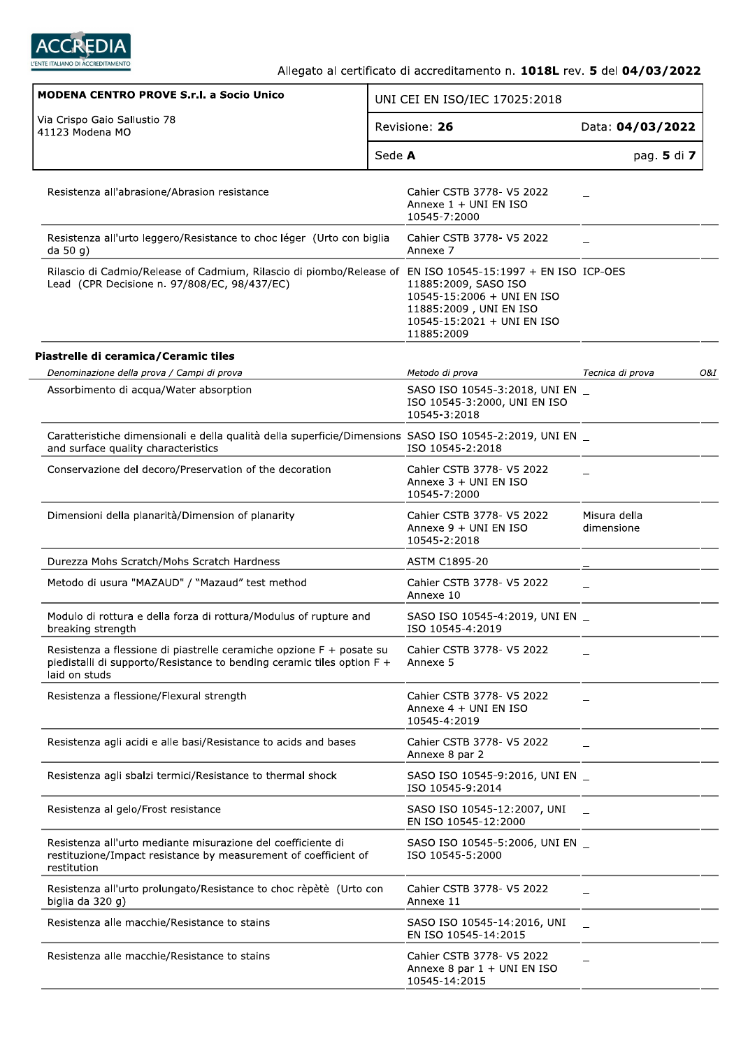

| <b>MODENA CENTRO PROVE S.r.I. a Socio Unico</b>                                                                                                                 | UNI CEI EN ISO/IEC 17025:2018                                                                                            |                            |     |
|-----------------------------------------------------------------------------------------------------------------------------------------------------------------|--------------------------------------------------------------------------------------------------------------------------|----------------------------|-----|
| Via Crispo Gaio Sallustio 78<br>41123 Modena MO                                                                                                                 | Revisione: 26                                                                                                            | Data: 04/03/2022           |     |
|                                                                                                                                                                 | Sede A                                                                                                                   | pag. 5 di 7                |     |
| Resistenza all'abrasione/Abrasion resistance                                                                                                                    | Cahier CSTB 3778- V5 2022<br>Annexe 1 + UNI EN ISO<br>10545-7:2000                                                       |                            |     |
| Resistenza all'urto leggero/Resistance to choc léger (Urto con biglia<br>da 50 g)                                                                               | Cahier CSTB 3778- V5 2022<br>Annexe 7                                                                                    |                            |     |
| Rilascio di Cadmio/Release of Cadmium, Rilascio di piombo/Release of EN ISO 10545-15:1997 + EN ISO ICP-OES<br>Lead (CPR Decisione n. 97/808/EC, 98/437/EC)      | 11885:2009, SASO ISO<br>10545-15:2006 + UNI EN ISO<br>11885:2009, UNI EN ISO<br>10545-15:2021 + UNI EN ISO<br>11885:2009 |                            |     |
| Piastrelle di ceramica/Ceramic tiles                                                                                                                            |                                                                                                                          |                            |     |
| Denominazione della prova / Campi di prova                                                                                                                      | Metodo di prova                                                                                                          | Tecnica di prova           | 0&1 |
| Assorbimento di acqua/Water absorption                                                                                                                          | SASO ISO 10545-3:2018, UNI EN _<br>ISO 10545-3:2000, UNI EN ISO<br>10545-3:2018                                          |                            |     |
| Caratteristiche dimensionali e della qualità della superficie/Dimensions SASO ISO 10545-2:2019, UNI EN _<br>and surface quality characteristics                 | ISO 10545-2:2018                                                                                                         |                            |     |
| Conservazione del decoro/Preservation of the decoration                                                                                                         | Cahier CSTB 3778- V5 2022<br>Annexe $3 + UNI EN ISO$<br>10545-7:2000                                                     |                            |     |
| Dimensioni della planarità/Dimension of planarity                                                                                                               | Cahier CSTB 3778- V5 2022<br>Annexe 9 + UNI EN ISO<br>10545-2:2018                                                       | Misura della<br>dimensione |     |
| Durezza Mohs Scratch/Mohs Scratch Hardness                                                                                                                      | ASTM C1895-20                                                                                                            |                            |     |
| Metodo di usura "MAZAUD" / "Mazaud" test method                                                                                                                 | Cahier CSTB 3778- V5 2022<br>Annexe 10                                                                                   |                            |     |
| Modulo di rottura e della forza di rottura/Modulus of rupture and<br>breaking strength                                                                          | SASO ISO 10545-4:2019, UNI EN _<br>ISO 10545-4:2019                                                                      |                            |     |
| Resistenza a flessione di piastrelle ceramiche opzione F + posate su<br>piedistalli di supporto/Resistance to bending ceramic tiles option F +<br>laid on studs | Cahier CSTB 3778- V5 2022<br>Annexe 5                                                                                    |                            |     |
| Resistenza a flessione/Flexural strength                                                                                                                        | Cahier CSTB 3778- V5 2022<br>Annexe 4 + UNI EN ISO<br>10545-4:2019                                                       |                            |     |
| Resistenza agli acidi e alle basi/Resistance to acids and bases                                                                                                 | Cahier CSTB 3778- V5 2022<br>Annexe 8 par 2                                                                              |                            |     |
| Resistenza agli sbalzi termici/Resistance to thermal shock                                                                                                      | SASO ISO 10545-9:2016, UNI EN _<br>ISO 10545-9:2014                                                                      |                            |     |
| Resistenza al gelo/Frost resistance                                                                                                                             | SASO ISO 10545-12:2007, UNI<br>EN ISO 10545-12:2000                                                                      |                            |     |
| Resistenza all'urto mediante misurazione del coefficiente di<br>restituzione/Impact resistance by measurement of coefficient of<br>restitution                  | SASO ISO 10545-5:2006, UNI EN _<br>ISO 10545-5:2000                                                                      |                            |     |
| Resistenza all'urto prolungato/Resistance to choc rèpètè (Urto con<br>biglia da 320 g)                                                                          | Cahier CSTB 3778- V5 2022<br>Annexe 11                                                                                   |                            |     |
| Resistenza alle macchie/Resistance to stains                                                                                                                    | SASO ISO 10545-14:2016, UNI<br>EN ISO 10545-14:2015                                                                      |                            |     |
| Resistenza alle macchie/Resistance to stains                                                                                                                    | Cahier CSTB 3778- V5 2022<br>Annexe 8 par 1 + UNI EN ISO<br>10545-14:2015                                                |                            |     |
|                                                                                                                                                                 |                                                                                                                          |                            |     |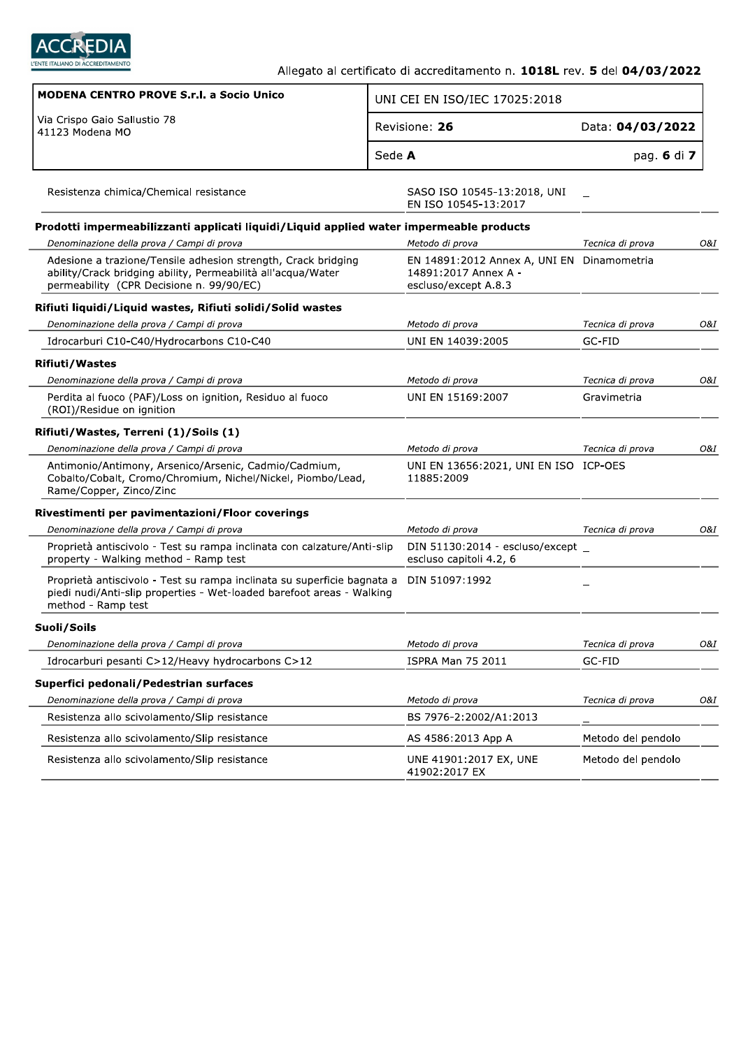

٦

| <b>MODENA CENTRO PROVE S.r.I. a Socio Unico</b>                                                                                                                           |        | UNI CEI EN ISO/IEC 17025:2018                                                              |                    |     |
|---------------------------------------------------------------------------------------------------------------------------------------------------------------------------|--------|--------------------------------------------------------------------------------------------|--------------------|-----|
| Via Crispo Gaio Sallustio 78<br>41123 Modena MO                                                                                                                           |        | Revisione: 26                                                                              | Data: 04/03/2022   |     |
|                                                                                                                                                                           | Sede A |                                                                                            | pag. 6 di 7        |     |
| Resistenza chimica/Chemical resistance                                                                                                                                    |        | SASO ISO 10545-13:2018, UNI<br>EN ISO 10545-13:2017                                        |                    |     |
| Prodotti impermeabilizzanti applicati liquidi/Liquid applied water impermeable products                                                                                   |        |                                                                                            |                    |     |
| Denominazione della prova / Campi di prova                                                                                                                                |        | Metodo di prova                                                                            | Tecnica di prova   | O&I |
| Adesione a trazione/Tensile adhesion strength, Crack bridging<br>ability/Crack bridging ability, Permeabilità all'acqua/Water<br>permeability (CPR Decisione n. 99/90/EC) |        | EN 14891:2012 Annex A, UNI EN Dinamometria<br>14891:2017 Annex A -<br>escluso/except A.8.3 |                    |     |
| Rifiuti liquidi/Liquid wastes, Rifiuti solidi/Solid wastes                                                                                                                |        |                                                                                            |                    |     |
| Denominazione della prova / Campi di prova                                                                                                                                |        | Metodo di prova                                                                            | Tecnica di prova   | 0&I |
| Idrocarburi C10-C40/Hydrocarbons C10-C40                                                                                                                                  |        | UNI EN 14039:2005                                                                          | GC-FID             |     |
| <b>Rifiuti/Wastes</b>                                                                                                                                                     |        |                                                                                            |                    |     |
| Denominazione della prova / Campi di prova                                                                                                                                |        | Metodo di prova                                                                            | Tecnica di prova   | O&I |
| Perdita al fuoco (PAF)/Loss on ignition, Residuo al fuoco<br>(ROI)/Residue on ignition                                                                                    |        | UNI EN 15169:2007                                                                          | Gravimetria        |     |
| Rifiuti/Wastes, Terreni (1)/Soils (1)                                                                                                                                     |        |                                                                                            |                    |     |
| Denominazione della prova / Campi di prova                                                                                                                                |        | Metodo di prova                                                                            | Tecnica di prova   | O&I |
| Antimonio/Antimony, Arsenico/Arsenic, Cadmio/Cadmium,<br>Cobalto/Cobalt, Cromo/Chromium, Nichel/Nickel, Piombo/Lead,<br>Rame/Copper, Zinco/Zinc                           |        | UNI EN 13656:2021, UNI EN ISO ICP-OES<br>11885:2009                                        |                    |     |
| Rivestimenti per pavimentazioni/Floor coverings                                                                                                                           |        |                                                                                            |                    |     |
| Denominazione della prova / Campi di prova                                                                                                                                |        | Metodo di prova                                                                            | Tecnica di prova   | O&I |
| Proprietà antiscivolo - Test su rampa inclinata con calzature/Anti-slip<br>property - Walking method - Ramp test                                                          |        | DIN 51130:2014 - escluso/except $\_$<br>escluso capitoli 4.2, 6                            |                    |     |
| Proprietà antiscivolo - Test su rampa inclinata su superficie bagnata a<br>piedi nudi/Anti-slip properties - Wet-loaded barefoot areas - Walking<br>method - Ramp test    |        | DIN 51097:1992                                                                             |                    |     |
| Suoli/Soils                                                                                                                                                               |        |                                                                                            |                    |     |
| Denominazione della prova / Campi di prova                                                                                                                                |        | Metodo di prova                                                                            | Tecnica di prova   | O&I |
| Idrocarburi pesanti C>12/Heavy hydrocarbons C>12                                                                                                                          |        | <b>ISPRA Man 75 2011</b>                                                                   | GC-FID             |     |
| Superfici pedonali/Pedestrian surfaces                                                                                                                                    |        |                                                                                            |                    |     |
| Denominazione della prova / Campi di prova                                                                                                                                |        | Metodo di prova                                                                            | Tecnica di prova   | O&I |
| Resistenza allo scivolamento/Slip resistance                                                                                                                              |        | BS 7976-2:2002/A1:2013                                                                     |                    |     |
| Resistenza allo scivolamento/Slip resistance                                                                                                                              |        | AS 4586:2013 App A                                                                         | Metodo del pendolo |     |
| Resistenza allo scivolamento/Slip resistance                                                                                                                              |        | UNE 41901:2017 EX, UNE<br>41902:2017 EX                                                    | Metodo del pendolo |     |

÷